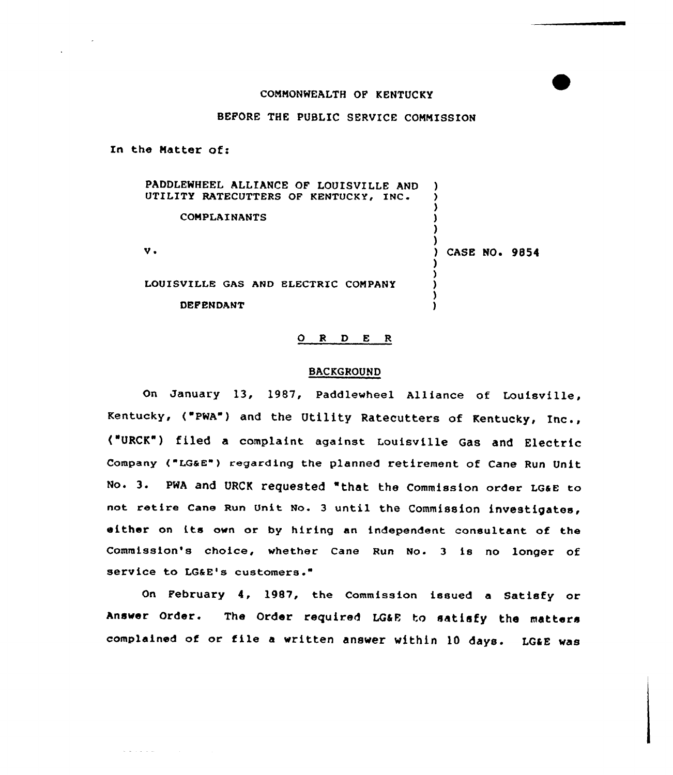## COMMONWEALTH OF KENTUCKY

# BEFORE THE PUBLIC SERVICE COMMISSION

In the Natter of:

and the state

| PADDLEWHEEL ALLIANCE OF LOUISVILLE AND<br>UTILITY RATECUTTERS OF KENTUCKY, INC. |                      |
|---------------------------------------------------------------------------------|----------------------|
| COMPLAINANTS                                                                    |                      |
| v.                                                                              | <b>CASE NO. 9854</b> |
| LOUISVILLE GAS AND ELECTRIC COMPANY<br><b>DEFENDANT</b>                         |                      |

# 0 <sup>R</sup> <sup>D</sup> <sup>E</sup> <sup>R</sup>

#### BACKGROUND

On January 13, 1987, Paddlewheel Alliance of Louisville, Kentucky, ("PWA") and the Utility Ratecutters of Kentucky, Inc., ("URCK") filed a complaint against Louisville Gas and Electric Company ("LGaE") regarding the planned retirement of Cane Run Unit No. 3. PWA and URCK requested "that the Commission order LG&E to not retire cane Run Unit No. <sup>3</sup> until the commission investigates, either on its own or by hiring an independent consultant of the Commission's choice, whether Cane Run No. <sup>3</sup> is no longer of service to LG&E's customers."

On February 4, 1987, the Commission issued a Satisfy or Answer Order. The Order required LG6E to satisfy the matters complained of or file a written answer within 10 days. LG&E was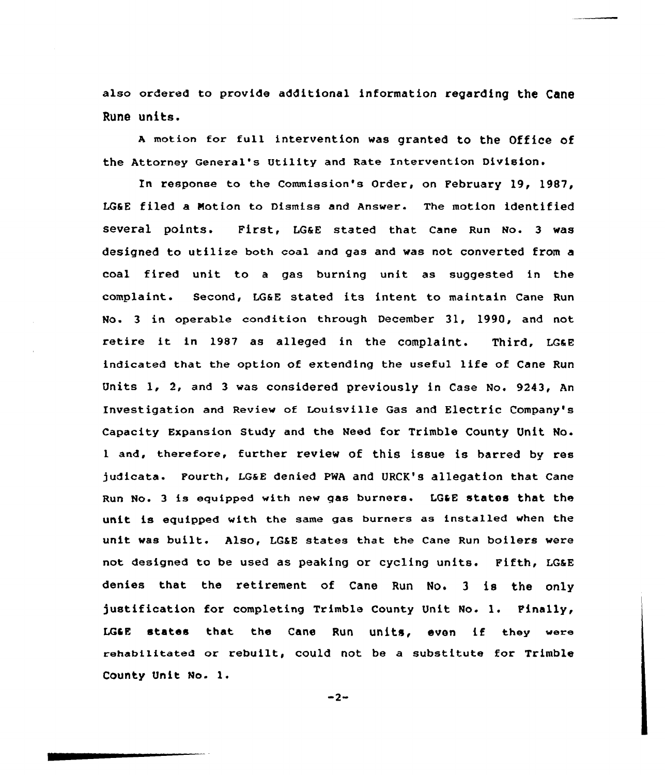also ordered to provide additional information regarding the Cane RUh8 Uhits.

A motion for full intervention was granted to the Office of the Attorney General's Utility and Rate Intervention Division.

In response to the Commission's Order, on February 19, 1987, LGSE filed a Notion to Dismiss and Answer. The motion identified several points. First, LGaE stated that cane Run No. 3 was designed to utilize both coal and gas and was not converted from a coal fired unit to <sup>a</sup> gas burning unit as suggested in the complaint. Second, LG&E stated its intent to maintain Cane Run No. 3 in operable condition through December 31, 1990, and not retire it in 1987 as alleged in the complaint. Third, LG&E indicated that the option of extending the useful life of Cane Run Units 1, 2, and <sup>3</sup> was considered previously in Case No. 9243, An Investigation and Review of Louisville Gas and Electric Company's capacity Expansion study and the Need for Trimble county Unit No. <sup>1</sup> and, therefore, further review of this issue is barred by res judicata. Fourth, LG&E denied PWA and URCK's allegation that Cane Run No. 3 is equipped with new gas burners. LG&E states that the unit is equipped with the same gaa burners as installed when the unit was built. Also, LG&E states that the Cane Run boilers were not designed to be used as peaking or cycling units. Fifth, LGEE denies that the retirement of Cane Run No. <sup>3</sup> is the only justification for completing Trimble County Unit No. 1. Finally, LGSE states that the Cane Run units, even if they were rehabilitated or rebuilt, could not be a substitute for Trimble County Unit No. l.

 $-2-$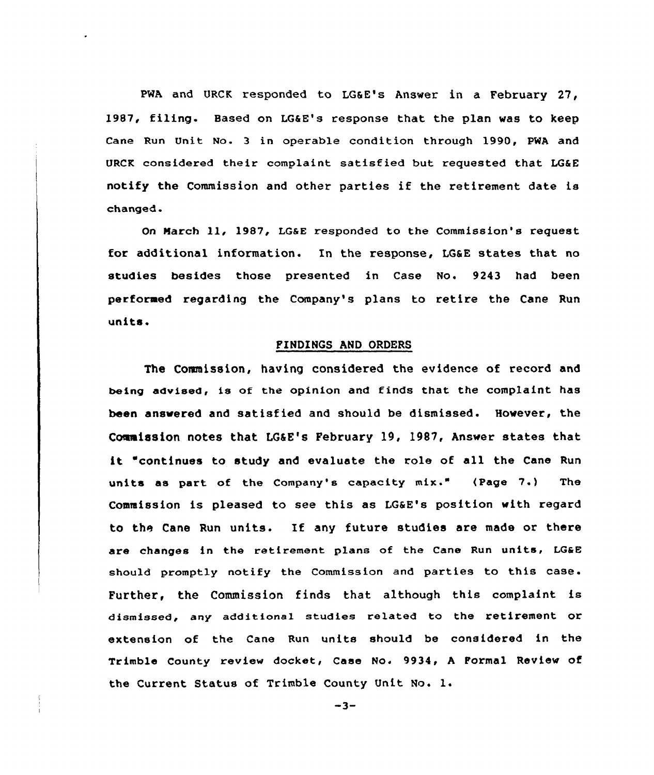PWA and URCK responded to LG&E's Answer in a February 27, 19S7, filing. Based on LG&E's response that the plan was to keep Cane Run Unit No. 3 in operable condition through 1990, PWA and URCK considered their complaint satisfied but requested that LG&E notify the Commission and other parties if the retirement date is changed.

On March 11, 1987, LG&E responded to the Commission's request for additional information. In the response, LG&E states that no studies besides those presented in Case No. 9243 had been performed regarding the Company's plans to retire the Cane Run units.

## FINDlNGS AND ORDERS

The Commission, having considered the evidence of record and being advised, is of the opinion and finds that the complaint has been answered and satisfied and should be dismissed. However, the Commission notes that LG&E's February 19, 1987, Answer states that it 'continues to study and evaluate the role of all the Cane Run units as part of the Company's capacity mix." (Page 7.) The Commission is pleased to see this as LG&E's position with regard to the Cane Run units. If any future studies are made or there are changes in the retirement plans of the cane Run units, LG&E should promptly notify the Commission and parties to this case. Further, the Commission finds that although this complaint is dismissed, any additional studies related to the retirement or extension of the Cane Run units should be considered in the Trimble County review docket, Case No. 9934, <sup>A</sup> Formal Review of the Current Status of Trimble County Unit No. l.

 $-3-$